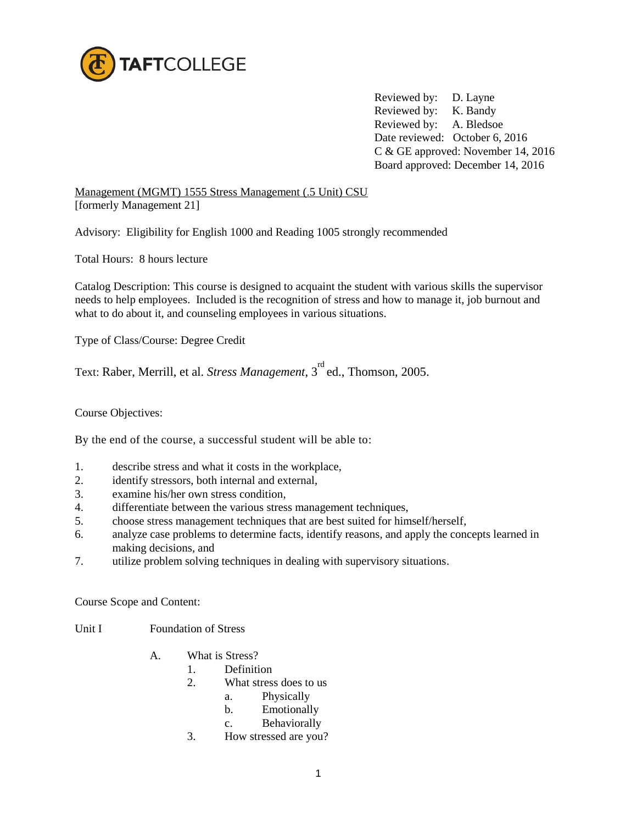

Reviewed by: D. Layne Reviewed by: K. Bandy Reviewed by: A. Bledsoe Date reviewed: October 6, 2016 C & GE approved: November 14, 2016 Board approved: December 14, 2016

Management (MGMT) 1555 Stress Management (.5 Unit) CSU [formerly Management 21]

Advisory: Eligibility for English 1000 and Reading 1005 strongly recommended

Total Hours: 8 hours lecture

Catalog Description: This course is designed to acquaint the student with various skills the supervisor needs to help employees. Included is the recognition of stress and how to manage it, job burnout and what to do about it, and counseling employees in various situations.

Type of Class/Course: Degree Credit

Text: Raber, Merrill, et al. *Stress Management*, 3<sup>rd</sup> ed., Thomson, 2005.

Course Objectives:

By the end of the course, a successful student will be able to:

- 1. describe stress and what it costs in the workplace,
- 2. identify stressors, both internal and external,
- 3. examine his/her own stress condition,
- 4. differentiate between the various stress management techniques,
- 5. choose stress management techniques that are best suited for himself/herself,
- 6. analyze case problems to determine facts, identify reasons, and apply the concepts learned in making decisions, and
- 7. utilize problem solving techniques in dealing with supervisory situations.

Course Scope and Content:

- Unit I Foundation of Stress
	- A. What is Stress?
		- 1. Definition
		- 2. What stress does to us
			- a. Physically
			- b. Emotionally
			- c. Behaviorally
		- 3. How stressed are you?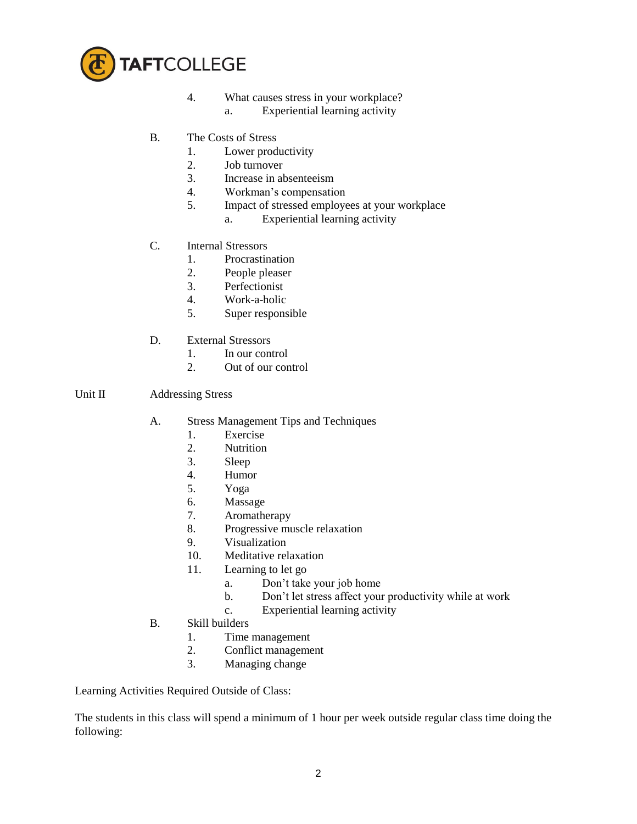

- 4. What causes stress in your workplace?
	- a. Experiential learning activity
- B. The Costs of Stress
	- 1. Lower productivity
	- 2. Job turnover
	- 3. Increase in absenteeism
	- 4. Workman's compensation
	- 5. Impact of stressed employees at your workplace
		- a. Experiential learning activity
- C. Internal Stressors
	- 1. Procrastination
	- 2. People pleaser
	- 3. Perfectionist
	- 4. Work-a-holic
	- 5. Super responsible
- D. External Stressors
	- 1. In our control<br>2. Out of our control
	- Out of our control

## Unit II Addressing Stress

- A. Stress Management Tips and Techniques
	- 1. Exercise
	- 2. Nutrition
	- 3. Sleep
	- 4. Humor
	- 5. Yoga
	- 6. Massage
	- 7. Aromatherapy
	- 8. Progressive muscle relaxation
	- 9. Visualization
	- 10. Meditative relaxation
	- 11. Learning to let go
		- a. Don't take your job home
		- b. Don't let stress affect your productivity while at work
		- c. Experiential learning activity
- B. Skill builders
	- 1. Time management
	- 2. Conflict management
	- 3. Managing change

Learning Activities Required Outside of Class:

The students in this class will spend a minimum of 1 hour per week outside regular class time doing the following: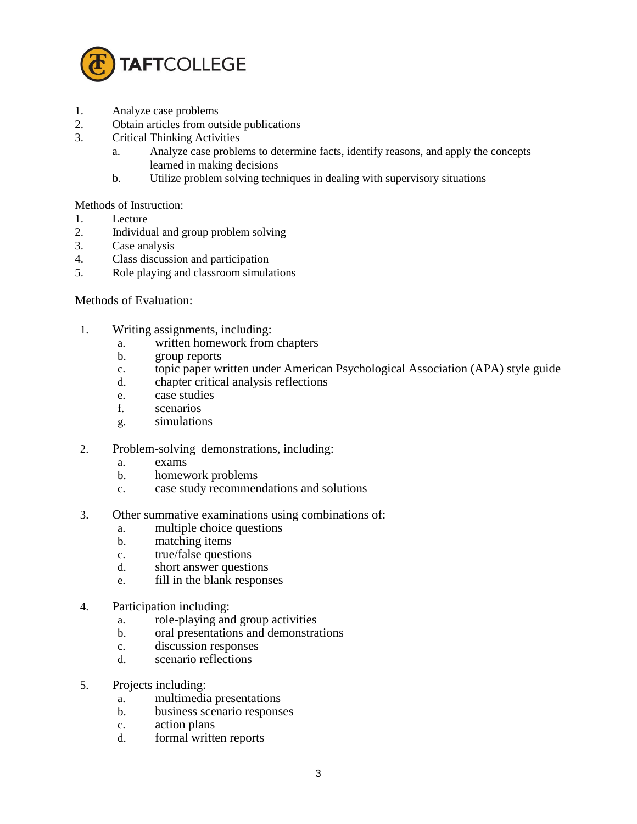

- 1. Analyze case problems
- 2. Obtain articles from outside publications
- 3. Critical Thinking Activities
	- a. Analyze case problems to determine facts, identify reasons, and apply the concepts learned in making decisions
	- b. Utilize problem solving techniques in dealing with supervisory situations

## Methods of Instruction:

- 1. Lecture
- 2. Individual and group problem solving
- 3. Case analysis
- 4. Class discussion and participation
- 5. Role playing and classroom simulations

## Methods of Evaluation:

- 1. Writing assignments, including:
	- a. written homework from chapters
	- b. group reports
	- c. topic paper written under American Psychological Association (APA) style guide
	- d. chapter critical analysis reflections
	- e. case studies
	- f. scenarios
	- g. simulations
- 2. Problem-solving demonstrations, including:
	- a. exams
	- b. homework problems
	- c. case study recommendations and solutions
- 3. Other summative examinations using combinations of:
	- a. multiple choice questions
	- b. matching items
	- c. true/false questions
	- d. short answer questions
	- e. fill in the blank responses
- 4. Participation including:
	- a. role-playing and group activities
	- b. oral presentations and demonstrations
	- c. discussion responses
	- d. scenario reflections
- 5. Projects including:
	- a. multimedia presentations
	- b. business scenario responses
	- c. action plans
	- d. formal written reports